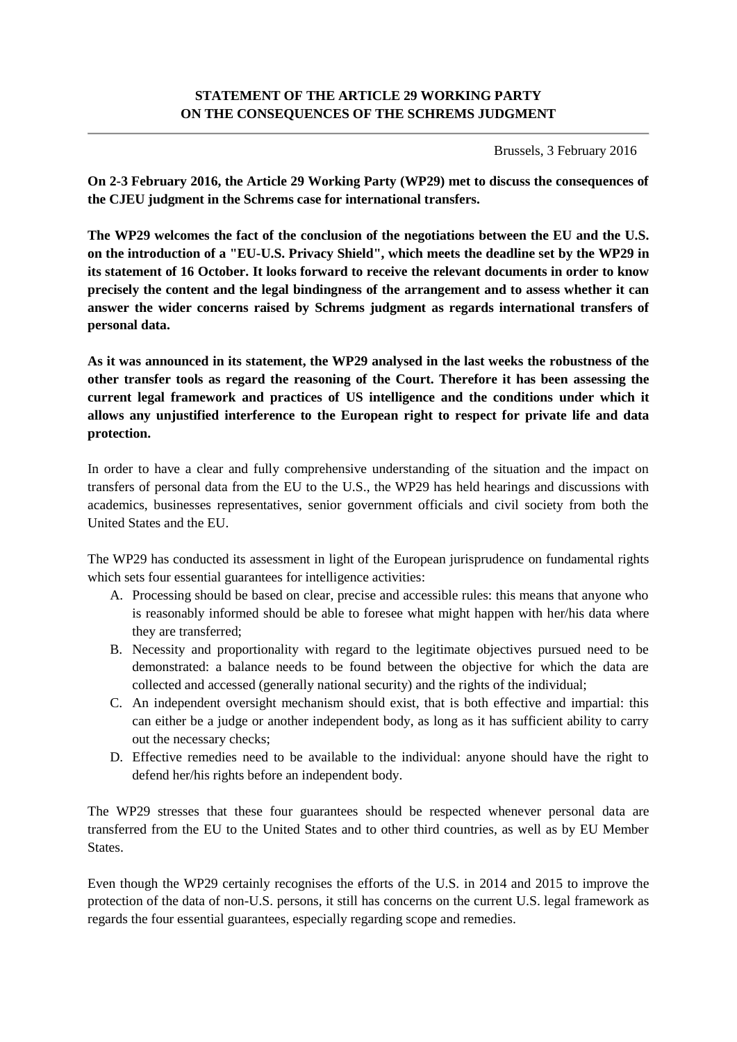Brussels, 3 February 2016

**On 2-3 February 2016, the Article 29 Working Party (WP29) met to discuss the consequences of the CJEU judgment in the Schrems case for international transfers.** 

**The WP29 welcomes the fact of the conclusion of the negotiations between the EU and the U.S. on the introduction of a "EU-U.S. Privacy Shield", which meets the deadline set by the WP29 in its statement of 16 October. It looks forward to receive the relevant documents in order to know precisely the content and the legal bindingness of the arrangement and to assess whether it can answer the wider concerns raised by Schrems judgment as regards international transfers of personal data.**

**As it was announced in its statement, the WP29 analysed in the last weeks the robustness of the other transfer tools as regard the reasoning of the Court. Therefore it has been assessing the current legal framework and practices of US intelligence and the conditions under which it allows any unjustified interference to the European right to respect for private life and data protection.**

In order to have a clear and fully comprehensive understanding of the situation and the impact on transfers of personal data from the EU to the U.S., the WP29 has held hearings and discussions with academics, businesses representatives, senior government officials and civil society from both the United States and the EU.

The WP29 has conducted its assessment in light of the European jurisprudence on fundamental rights which sets four essential guarantees for intelligence activities:

- A. Processing should be based on clear, precise and accessible rules: this means that anyone who is reasonably informed should be able to foresee what might happen with her/his data where they are transferred;
- B. Necessity and proportionality with regard to the legitimate objectives pursued need to be demonstrated: a balance needs to be found between the objective for which the data are collected and accessed (generally national security) and the rights of the individual;
- C. An independent oversight mechanism should exist, that is both effective and impartial: this can either be a judge or another independent body, as long as it has sufficient ability to carry out the necessary checks;
- D. Effective remedies need to be available to the individual: anyone should have the right to defend her/his rights before an independent body.

The WP29 stresses that these four guarantees should be respected whenever personal data are transferred from the EU to the United States and to other third countries, as well as by EU Member States.

Even though the WP29 certainly recognises the efforts of the U.S. in 2014 and 2015 to improve the protection of the data of non-U.S. persons, it still has concerns on the current U.S. legal framework as regards the four essential guarantees, especially regarding scope and remedies.